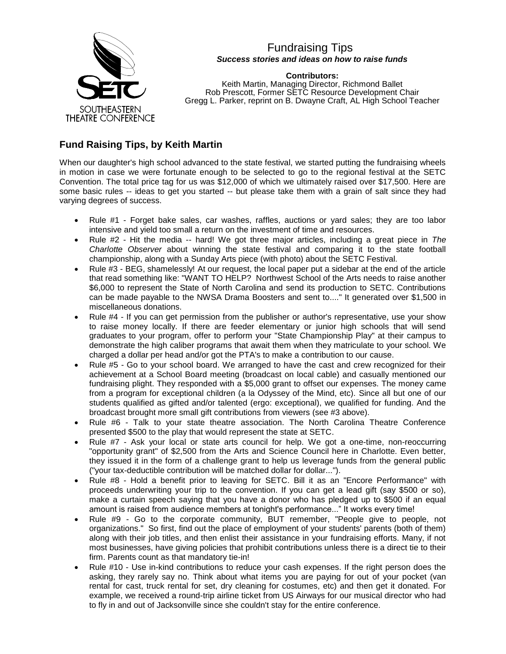

## Fundraising Tips *Success stories and ideas on how to raise funds*

**Contributors:** Keith Martin, Managing Director, Richmond Ballet Rob Prescott, Former SETC Resource Development Chair Gregg L. Parker, reprint on B. Dwayne Craft, AL High School Teacher

## **Fund Raising Tips, by Keith Martin**

When our daughter's high school advanced to the state festival, we started putting the fundraising wheels in motion in case we were fortunate enough to be selected to go to the regional festival at the SETC Convention. The total price tag for us was \$12,000 of which we ultimately raised over \$17,500. Here are some basic rules -- ideas to get you started -- but please take them with a grain of salt since they had varying degrees of success.

- Rule #1 Forget bake sales, car washes, raffles, auctions or yard sales; they are too labor intensive and yield too small a return on the investment of time and resources.
- Rule #2 Hit the media -- hard! We got three major articles, including a great piece in *The Charlotte Observer* about winning the state festival and comparing it to the state football championship, along with a Sunday Arts piece (with photo) about the SETC Festival.
- Rule #3 BEG, shamelessly! At our request, the local paper put a sidebar at the end of the article that read something like: "WANT TO HELP? Northwest School of the Arts needs to raise another \$6,000 to represent the State of North Carolina and send its production to SETC. Contributions can be made payable to the NWSA Drama Boosters and sent to...." It generated over \$1,500 in miscellaneous donations.
- Rule #4 If you can get permission from the publisher or author's representative, use your show to raise money locally. If there are feeder elementary or junior high schools that will send graduates to your program, offer to perform your "State Championship Play" at their campus to demonstrate the high caliber programs that await them when they matriculate to your school. We charged a dollar per head and/or got the PTA's to make a contribution to our cause.
- Rule #5 Go to your school board. We arranged to have the cast and crew recognized for their achievement at a School Board meeting (broadcast on local cable) and casually mentioned our fundraising plight. They responded with a \$5,000 grant to offset our expenses. The money came from a program for exceptional children (a la Odyssey of the Mind, etc). Since all but one of our students qualified as gifted and/or talented (ergo: exceptional), we qualified for funding. And the broadcast brought more small gift contributions from viewers (see #3 above).
- Rule #6 Talk to your state theatre association. The North Carolina Theatre Conference presented \$500 to the play that would represent the state at SETC.
- Rule #7 Ask your local or state arts council for help. We got a one-time, non-reoccurring "opportunity grant" of \$2,500 from the Arts and Science Council here in Charlotte. Even better, they issued it in the form of a challenge grant to help us leverage funds from the general public ("your tax-deductible contribution will be matched dollar for dollar...").
- Rule #8 Hold a benefit prior to leaving for SETC. Bill it as an "Encore Performance" with proceeds underwriting your trip to the convention. If you can get a lead gift (say \$500 or so), make a curtain speech saying that you have a donor who has pledged up to \$500 if an equal amount is raised from audience members at tonight's performance..." It works every time!
- Rule #9 Go to the corporate community, BUT remember, "People give to people, not organizations." So first, find out the place of employment of your students' parents (both of them) along with their job titles, and then enlist their assistance in your fundraising efforts. Many, if not most businesses, have giving policies that prohibit contributions unless there is a direct tie to their firm. Parents count as that mandatory tie-in!
- Rule #10 Use in-kind contributions to reduce your cash expenses. If the right person does the asking, they rarely say no. Think about what items you are paying for out of your pocket (van rental for cast, truck rental for set, dry cleaning for costumes, etc) and then get it donated. For example, we received a round-trip airline ticket from US Airways for our musical director who had to fly in and out of Jacksonville since she couldn't stay for the entire conference.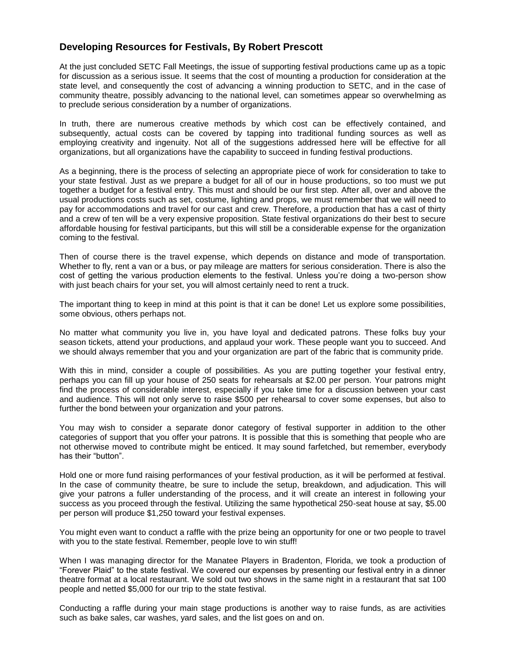## **Developing Resources for Festivals, By Robert Prescott**

At the just concluded SETC Fall Meetings, the issue of supporting festival productions came up as a topic for discussion as a serious issue. It seems that the cost of mounting a production for consideration at the state level, and consequently the cost of advancing a winning production to SETC, and in the case of community theatre, possibly advancing to the national level, can sometimes appear so overwhelming as to preclude serious consideration by a number of organizations.

In truth, there are numerous creative methods by which cost can be effectively contained, and subsequently, actual costs can be covered by tapping into traditional funding sources as well as employing creativity and ingenuity. Not all of the suggestions addressed here will be effective for all organizations, but all organizations have the capability to succeed in funding festival productions.

As a beginning, there is the process of selecting an appropriate piece of work for consideration to take to your state festival. Just as we prepare a budget for all of our in house productions, so too must we put together a budget for a festival entry. This must and should be our first step. After all, over and above the usual productions costs such as set, costume, lighting and props, we must remember that we will need to pay for accommodations and travel for our cast and crew. Therefore, a production that has a cast of thirty and a crew of ten will be a very expensive proposition. State festival organizations do their best to secure affordable housing for festival participants, but this will still be a considerable expense for the organization coming to the festival.

Then of course there is the travel expense, which depends on distance and mode of transportation. Whether to fly, rent a van or a bus, or pay mileage are matters for serious consideration. There is also the cost of getting the various production elements to the festival. Unless you're doing a two-person show with just beach chairs for your set, you will almost certainly need to rent a truck.

The important thing to keep in mind at this point is that it can be done! Let us explore some possibilities, some obvious, others perhaps not.

No matter what community you live in, you have loyal and dedicated patrons. These folks buy your season tickets, attend your productions, and applaud your work. These people want you to succeed. And we should always remember that you and your organization are part of the fabric that is community pride.

With this in mind, consider a couple of possibilities. As you are putting together your festival entry, perhaps you can fill up your house of 250 seats for rehearsals at \$2.00 per person. Your patrons might find the process of considerable interest, especially if you take time for a discussion between your cast and audience. This will not only serve to raise \$500 per rehearsal to cover some expenses, but also to further the bond between your organization and your patrons.

You may wish to consider a separate donor category of festival supporter in addition to the other categories of support that you offer your patrons. It is possible that this is something that people who are not otherwise moved to contribute might be enticed. It may sound farfetched, but remember, everybody has their "button".

Hold one or more fund raising performances of your festival production, as it will be performed at festival. In the case of community theatre, be sure to include the setup, breakdown, and adjudication. This will give your patrons a fuller understanding of the process, and it will create an interest in following your success as you proceed through the festival. Utilizing the same hypothetical 250-seat house at say, \$5.00 per person will produce \$1,250 toward your festival expenses.

You might even want to conduct a raffle with the prize being an opportunity for one or two people to travel with you to the state festival. Remember, people love to win stuff!

When I was managing director for the Manatee Players in Bradenton, Florida, we took a production of "Forever Plaid" to the state festival. We covered our expenses by presenting our festival entry in a dinner theatre format at a local restaurant. We sold out two shows in the same night in a restaurant that sat 100 people and netted \$5,000 for our trip to the state festival.

Conducting a raffle during your main stage productions is another way to raise funds, as are activities such as bake sales, car washes, yard sales, and the list goes on and on.